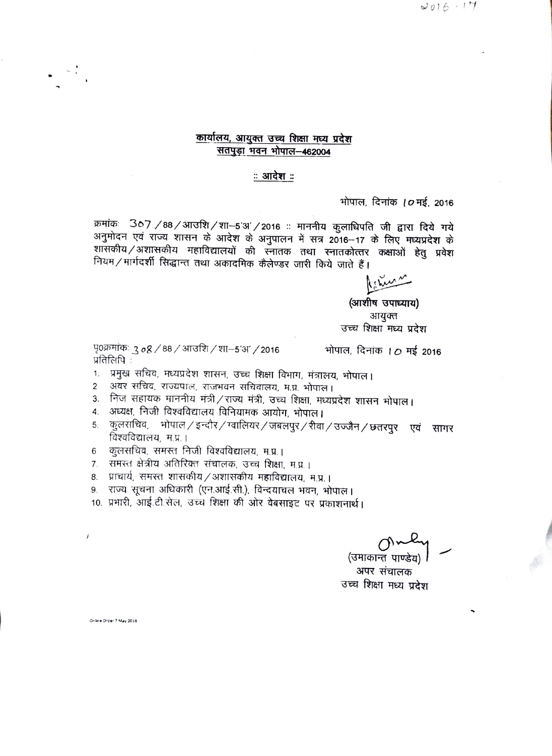$2016 - 17$ 

## कार्यालय, आयुक्त उच्च शिक्षा मध्य प्रदेश सतपुड़ा भवन भोपाल-462004

### ः आदेश ः

भोपाल, दिनांक *। 0* मई, 2016

क्रमांकः 367 /88/आउशि/शा-5'अ'/2016 :: माननीय कुलाधिपति जी द्वारा दिये गये अनुमोदन एवं राज्य शासन के आदेश के अनुपालन में सत्र 2016-17 के लिए मध्यप्रदेश के शासकीय/अशासकीय महाविद्यालयों की स्नातक तथा स्नातकोत्तर कक्षाओं हेतु प्रवेश नियम/मार्गदर्शी सिद्धान्त तथा अकादमिक केलेण्डर जारी किये जाते हैं।

(आशीष उपाध्याय) आयक्त उच्च शिक्षा मध्य प्रदेश

पृ0क्रमांकः 3  $\delta$ 8 / 88 / आउशि / शा–5'अ' / 2016 प्रतिलिपि:

भोपाल, दिनांक ।  $O$  मई 2016

- 1. प्रमुख सचिव, मध्यप्रदेश शासन, उच्च शिक्षा विभाग, मंत्रालय, भोपाल।
- अवर सचिव, राज्यपाल, राजभवन सचिवालय, म.प्र. भोपाल।  $\overline{2}$
- 3. निज सहायक माननीय मंत्री/राज्य मंत्री, उच्च शिक्षा, मध्यप्रदेश शासन भोपाल।
- 4. अध्यक्ष, निजी विश्वविद्यालय विनियामक आयोग, भोपाल।
- कलराचिव, भोपाल ⁄ इन्दौर ⁄ ग्वालियर ⁄ जबलपुर ⁄ रीवा ⁄ उज्जैन ⁄ छतरपुर एवं सागर 5. विश्वविद्यालय, म.प्र.।
- कुलसचिव, समस्त निजी विश्वविद्यालय, म.प्र.। 6
- 7. समस्त क्षेत्रीय अतिरिक्त संचालक, उच्च शिक्षा, म.प्र.।
- 8. प्राचार्य, समस्त शासकीय / अशासकीय महाविद्यालय, म.प्र. ।
- राज्य सूचना अधिकारी (एन.आई.सी.), विन्दयाचल भवन, भोपाल।  $9<sub>1</sub>$
- 10. प्रभारी, आई.टी.सेल, उच्च शिक्षा की ओर वेबसाइट पर प्रकाशनार्थ।

(उमाकान्त पाण्डेय)

अपर संचालक उच्च शिक्षा मध्य प्रदेश

Online Order 7 May 2016

 $\overline{1}$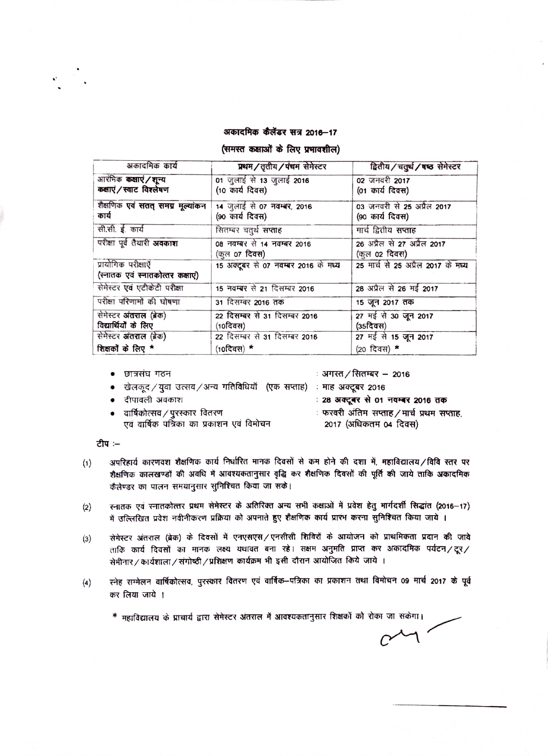#### अकादमिक कैलेंडर सत्र 2016-17

#### (समस्त कक्षाओं के लिए प्रभावशील)

| अकादमिक कार्य                                             | प्रथम/तृतीय/पंचम सेमेस्टर                           | द्वितीय/चतुर्थ/षष्ठ सेमेस्टर                  |
|-----------------------------------------------------------|-----------------------------------------------------|-----------------------------------------------|
| आरंभिक <b>कक्षाएं / शून्य</b><br>कक्षाएं / स्वाट विश्लेषण | 01 जुलाई से 13 जुलाई 2016<br>(10 कार्य दिवस)        | 02 जनवरी 2017<br>(01 कार्य दिवस)              |
|                                                           |                                                     |                                               |
| शैक्षणिक एवं सतत् समग्र मूल्यांकन<br>कार्य                | 14 जुलाई से 07 नवम्बर, 2016<br>(90 कार्य दिवस)      | 03 जनवरी से 25 अप्रैल 2017<br>(90 कार्य दिवस) |
| सी.सी. ई. कार्य                                           | सितम्बर चतुर्थ <b>सप्ताह</b>                        | मार्च द्वितीय सप्ताह                          |
| परीक्षा पूर्व तैयारी अवकाश                                | 08 नवम्बर से 14 नवम्बर 2016<br>(कुल <b>o7 दिवस)</b> | 26 अप्रैल से 27 अप्रैल 2017<br>(कुल 02 दिवस)  |
| प्रायोगिक परीक्षाएँ                                       | 15 अक्टूबर से 07 नवम्बर 2016 के मध्य                | 25 मार्च से 25 अप्रैल 2017 के मध्य            |
| (स्नातक एवं स्नातकोत्तर कक्षाए)                           |                                                     |                                               |
| सेमेस्टर एवं एटीकेटी परीक्षा                              | 15 नवम्बर से 21 दिसम्बर 2016                        | 28 अप्रैल से 26 मई 2017                       |
| परीक्षा परिणामों की घोषणा                                 | 31 दिसम्बर 2016 तक                                  | 15 जून 2017 तक                                |
| सेमेस्टर अंतराल (ब्रेक)                                   | 22 दिसम्बर से 31 दिसम्बर 2016                       | 27 मई से 30 जून 2017                          |
| विद्यार्थियों के लिए                                      | $(10$ दिवस)                                         | $(35$ दिवस $)$                                |
| सेमेस्टर अंतराल (ब्रेक)                                   | 22 दिसम्बर से 31 दिसम्बर 2016                       | 27 मई से 15 जून 2017                          |
| शिक्षकों के लिए *                                         | $(10$ दिवस $)$ *                                    | (20 दिवस) *                                   |

• छात्रसंघ गठन

∶ अगस्त ∕ सितम्बर − 2016

- खेलकूद / युवा उत्सव / अन्य गतिविधियाँ (एक सप्ताह) : माह अक्टूबर 2016
- दीपावली अवकाश
- वार्षिकोत्सव / पुरस्कार वितरण एवं वार्षिक पत्रिका का प्रकाशन एवं विमोचन

: 28 अक्टूबर से 01 नवम्बर 2016 तक

- ः फरवरी अंतिम सप्ताह / मार्च प्रथम सप्ताह,
	- 2017 (अधिकतम 04 दिवस)

टीप :-

- अपरिहार्य कारणवश शैक्षणिक कार्य निर्धारित मानक दिवसों से कम होने की दशा में, महाविद्यालय/विवि स्तर पर  $(1)$ शैक्षणिक कालखण्डों की अवधि में आवश्यकतानुसार वृद्धि कर शैक्षणिक दिवसों की पूर्ति की जाये ताकि अकादमिक कैलेण्डर का पालन समयानुसार सुनिश्चित किया जा सके।
- स्नातक एवं स्नातकोत्तर प्रथम सेमेस्टर के अतिरिक्त अन्य सभी कक्षाओं में प्रवेश हेतु मार्गदर्शी सिद्धांत (2016-17)  $(2)$ में उल्लिखित प्रवेश नवीनीकरण प्रक्रिया को अपनाते हुए शैक्षणिक कार्य प्रारंभ करना सुनिश्चित किया जाये ।
- सेमेस्टर अंतराल (ब्रेक) के दिवसों में एनएसएस / एनसीसी शिविरों के आयोजन को प्राथमिकता प्रदान की जावे  $(3)$ ताकि कार्य दिवसों का मानक लक्ष्य यथावत बना रहे। सक्षम अनुमति प्राप्त कर अकादमिक पर्यटन/टूर/ सेमीनार/कार्यशाला/संगोष्ठी/प्रशिक्षण कार्यक्रम भी इसी दौरान आयोजित किये जाये ।
- स्नेह सम्मेलन वार्षिकोत्सव, पुरस्कार वितरण एवं वार्षिक–पत्रिका का प्रकाशन तथा विमोचन 09 मार्च 2017 के पूर्व  $(4)$ कर लिया जाये ।
	- \* महाविद्यालय के प्राचार्य द्वारा सेमेस्टर अंतराल में आवश्यकतानुसार शिक्षकों को रोका जा सकेगा।